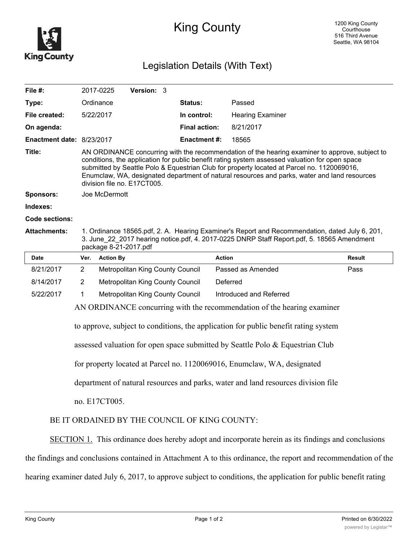

## King County

## Legislation Details (With Text)

| File $#$ :                       |                                                                                                                                                                                                                                                                                                                                                                                                                               | 2017-0225        | <b>Version: 3</b>                |  |                      |                         |               |
|----------------------------------|-------------------------------------------------------------------------------------------------------------------------------------------------------------------------------------------------------------------------------------------------------------------------------------------------------------------------------------------------------------------------------------------------------------------------------|------------------|----------------------------------|--|----------------------|-------------------------|---------------|
| Type:                            |                                                                                                                                                                                                                                                                                                                                                                                                                               | Ordinance        |                                  |  | <b>Status:</b>       | Passed                  |               |
| File created:                    |                                                                                                                                                                                                                                                                                                                                                                                                                               | 5/22/2017        |                                  |  | In control:          | <b>Hearing Examiner</b> |               |
| On agenda:                       |                                                                                                                                                                                                                                                                                                                                                                                                                               |                  |                                  |  | <b>Final action:</b> | 8/21/2017               |               |
| <b>Enactment date: 8/23/2017</b> |                                                                                                                                                                                                                                                                                                                                                                                                                               |                  |                                  |  | <b>Enactment #:</b>  | 18565                   |               |
| Title:                           | AN ORDINANCE concurring with the recommendation of the hearing examiner to approve, subject to<br>conditions, the application for public benefit rating system assessed valuation for open space<br>submitted by Seattle Polo & Equestrian Club for property located at Parcel no. 1120069016,<br>Enumclaw, WA, designated department of natural resources and parks, water and land resources<br>division file no. E17CT005. |                  |                                  |  |                      |                         |               |
| <b>Sponsors:</b>                 | Joe McDermott                                                                                                                                                                                                                                                                                                                                                                                                                 |                  |                                  |  |                      |                         |               |
| Indexes:                         |                                                                                                                                                                                                                                                                                                                                                                                                                               |                  |                                  |  |                      |                         |               |
| Code sections:                   |                                                                                                                                                                                                                                                                                                                                                                                                                               |                  |                                  |  |                      |                         |               |
| <b>Attachments:</b>              | 1. Ordinance 18565.pdf, 2. A. Hearing Examiner's Report and Recommendation, dated July 6, 201,<br>3. June_22_2017 hearing notice.pdf, 4. 2017-0225 DNRP Staff Report.pdf, 5. 18565 Amendment<br>package 8-21-2017.pdf                                                                                                                                                                                                         |                  |                                  |  |                      |                         |               |
| <b>Date</b>                      | Ver.                                                                                                                                                                                                                                                                                                                                                                                                                          | <b>Action By</b> |                                  |  |                      | <b>Action</b>           | <b>Result</b> |
| 8/21/2017                        | $\overline{2}$                                                                                                                                                                                                                                                                                                                                                                                                                |                  | Metropolitan King County Council |  |                      | Passed as Amended       | Pass          |
| 8/14/2017                        | $\overline{2}$                                                                                                                                                                                                                                                                                                                                                                                                                |                  | Metropolitan King County Council |  |                      | Deferred                |               |
| 5/22/2017                        | 1                                                                                                                                                                                                                                                                                                                                                                                                                             |                  | Metropolitan King County Council |  |                      | Introduced and Referred |               |

AN ORDINANCE concurring with the recommendation of the hearing examiner

to approve, subject to conditions, the application for public benefit rating system

assessed valuation for open space submitted by Seattle Polo & Equestrian Club

for property located at Parcel no. 1120069016, Enumclaw, WA, designated

department of natural resources and parks, water and land resources division file

no. E17CT005.

## BE IT ORDAINED BY THE COUNCIL OF KING COUNTY:

SECTION 1. This ordinance does hereby adopt and incorporate herein as its findings and conclusions

the findings and conclusions contained in Attachment A to this ordinance, the report and recommendation of the

hearing examiner dated July 6, 2017, to approve subject to conditions, the application for public benefit rating